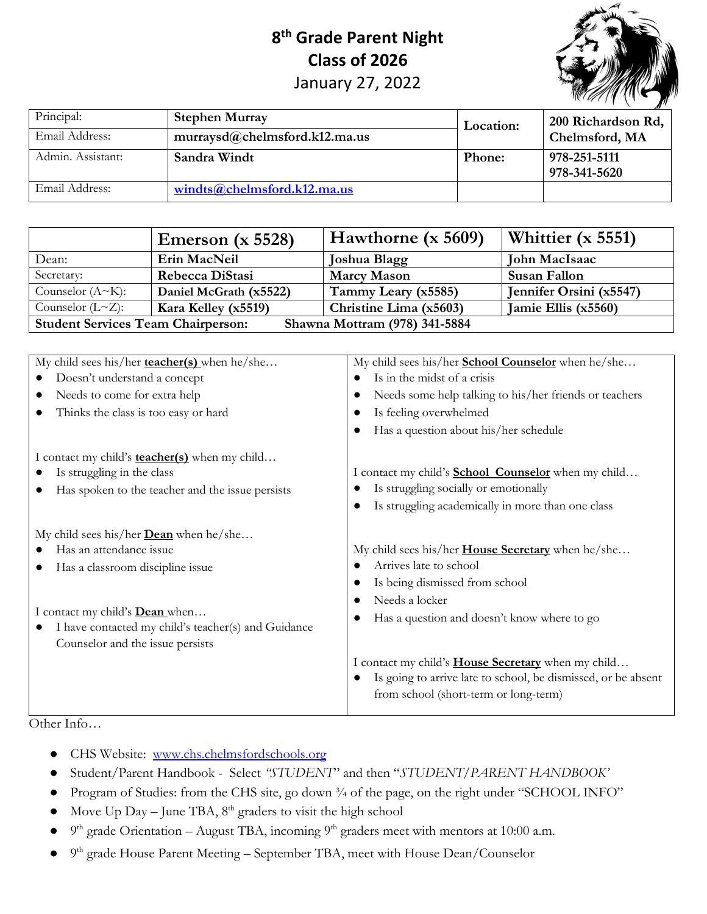## **8th Grade Parent Night Class of 2026**  January 27, 2022



| Principal:        | <b>Stephen Murray</b>         | <b>Location:</b> | 200 Richardson Rd, |  |
|-------------------|-------------------------------|------------------|--------------------|--|
| Email Address:    | murraysd@chelmsford.k12.ma.us |                  | Chelmsford, MA     |  |
| Admin. Assistant: | Sandra Windt                  | <b>Phone:</b>    | 978-251-5111       |  |
|                   |                               |                  | 978-341-5620       |  |
| Email Address:    | winds@chelmsford.k12ma.us     |                  |                    |  |

|                                                                            | Emerson $(x 5528)$     | Hawthorne (x 5609)     | Whittier $(x 5551)$     |  |  |
|----------------------------------------------------------------------------|------------------------|------------------------|-------------------------|--|--|
| Dean:                                                                      | Erin MacNeil           | Joshua Blagg           | John MacIsaac           |  |  |
| Secretary:                                                                 | Rebecca DiStasi        | <b>Marcy Mason</b>     | Susan Fallon            |  |  |
| Counselor $(A~K):$                                                         | Daniel McGrath (x5522) | Tammy Leary (x5585)    | Jennifer Orsini (x5547) |  |  |
| Counselor $(L \sim Z)$ :                                                   | Kara Kelley (x5519)    | Christine Lima (x5603) | Jamie Ellis (x5560)     |  |  |
| <b>Student Services Team Chairperson:</b><br>Shawna Mottram (978) 341-5884 |                        |                        |                         |  |  |

| My child sees his/her <b>teacher(s)</b> when he/she                                          | My child sees his/her School Counselor when he/she            |
|----------------------------------------------------------------------------------------------|---------------------------------------------------------------|
| Doesn't understand a concept                                                                 | Is in the midst of a crisis                                   |
| Needs to come for extra help                                                                 | Needs some help talking to his/her friends or teachers        |
| Thinks the class is too easy or hard                                                         | Is feeling overwhelmed                                        |
|                                                                                              | Has a question about his/her schedule                         |
| I contact my child's <b>teacher(s)</b> when my child                                         |                                                               |
| Is struggling in the class                                                                   | I contact my child's <b>School Counselor</b> when my child    |
| Has spoken to the teacher and the issue persists                                             | Is struggling socially or emotionally                         |
|                                                                                              | Is struggling academically in more than one class             |
| My child sees his/her <b>Dean</b> when he/she                                                |                                                               |
| Has an attendance issue                                                                      | My child sees his/her <b>House Secretary</b> when he/she      |
| Has a classroom discipline issue                                                             | Arrives late to school                                        |
|                                                                                              | Is being dismissed from school                                |
|                                                                                              | Needs a locker                                                |
| I contact my child's <b>Dean</b> when<br>I have contacted my child's teacher(s) and Guidance | Has a question and doesn't know where to go                   |
| Counselor and the issue persists                                                             |                                                               |
|                                                                                              | I contact my child's <b>House Secretary</b> when my child     |
|                                                                                              | Is going to arrive late to school, be dismissed, or be absent |
|                                                                                              | from school (short-term or long-term)                         |
|                                                                                              |                                                               |

Other Info…

- CHS Website: [www.chs.chelmsfordschools.org](http://www.chs.chelmsfordschools.org/)
- Student/Parent Handbook Select *"STUDENT*" and then "*STUDENT/PARENT HANDBOOK'*
- Program of Studies: from the CHS site, go down ¾ of the page, on the right under "SCHOOL INFO"
- Move Up Day June TBA,  $8<sup>th</sup>$  graders to visit the high school
- $9<sup>th</sup>$  grade Orientation August TBA, incoming  $9<sup>th</sup>$  graders meet with mentors at 10:00 a.m.
- $9<sup>th</sup>$  grade House Parent Meeting September TBA, meet with House Dean/Counselor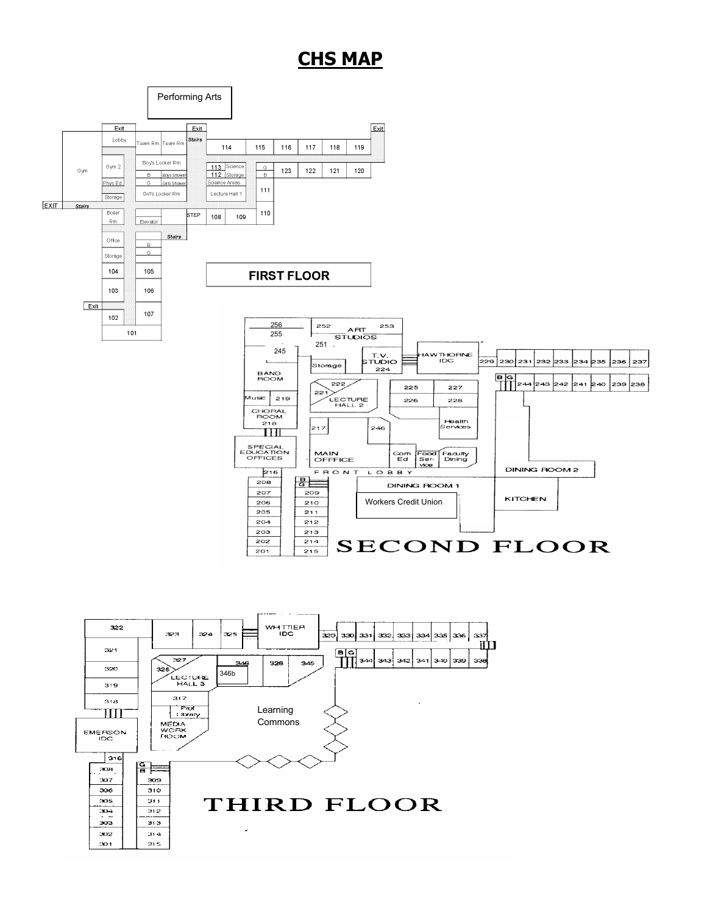## **CHS MAP**



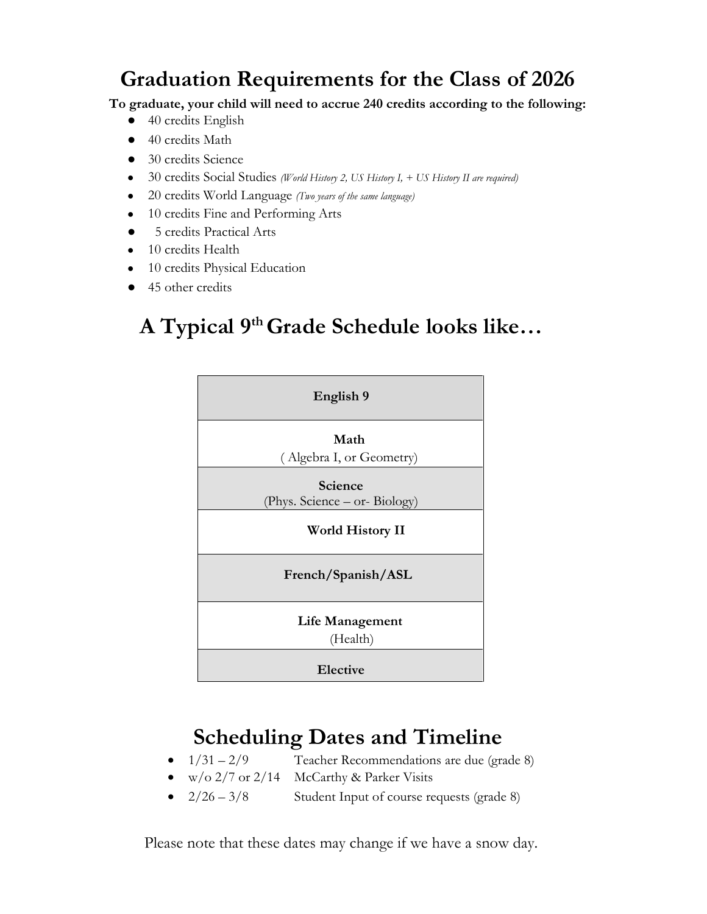# **Graduation Requirements for the Class of 2026**

**To graduate, your child will need to accrue 240 credits according to the following:**

- 40 credits English
- 40 credits Math
- 30 credits Science
- 30 credits Social Studies *(World History 2, US History I, + US History II are required)*
- 20 credits World Language *(Two years of the same language)*
- 10 credits Fine and Performing Arts
- 5 credits Practical Arts
- 10 credits Health
- 10 credits Physical Education
- 45 other credits

# **A Typical 9th Grade Schedule looks like…**



# **Scheduling Dates and Timeline**

- $1/31 2/9$  Teacher Recommendations are due (grade 8)
- w/o  $2/7$  or  $2/14$  McCarthy & Parker Visits
- $2/26 3/8$  Student Input of course requests (grade 8)

Please note that these dates may change if we have a snow day.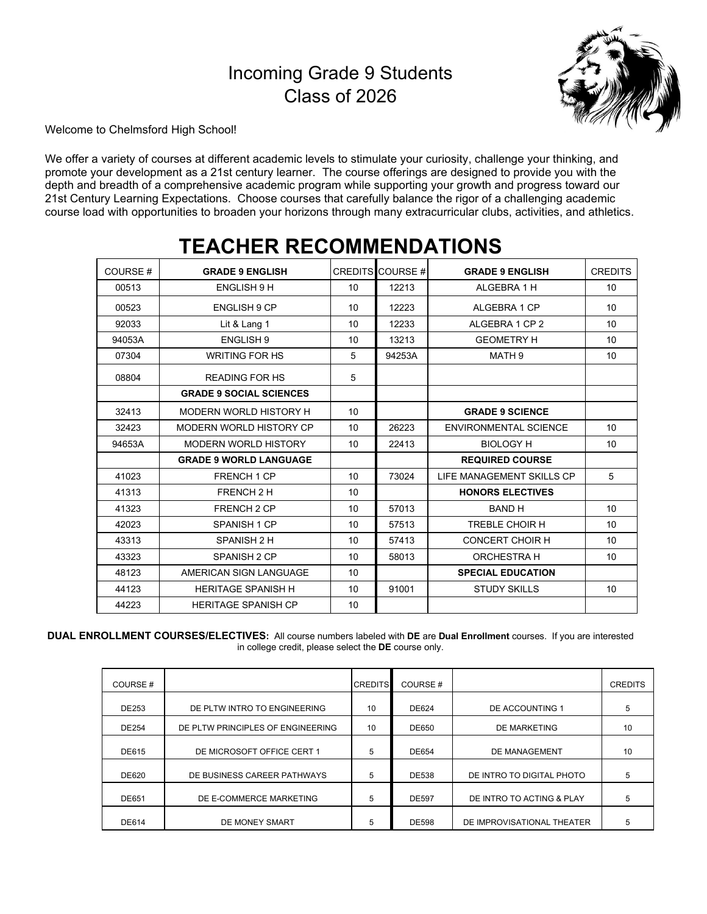## Incoming Grade 9 Students Class of 2026



Welcome to Chelmsford High School!

We offer a variety of courses at different academic levels to stimulate your curiosity, challenge your thinking, and promote your development as a 21st century learner. The course offerings are designed to provide you with the depth and breadth of a comprehensive academic program while supporting your growth and progress toward our 21st Century Learning Expectations. Choose courses that carefully balance the rigor of a challenging academic course load with opportunities to broaden your horizons through many extracurricular clubs, activities, and athletics.

| COURSE# | <b>GRADE 9 ENGLISH</b>         |    | CREDITS COURSE# | <b>GRADE 9 ENGLISH</b>       | <b>CREDITS</b> |
|---------|--------------------------------|----|-----------------|------------------------------|----------------|
| 00513   | ENGLISH 9 H                    | 10 | 12213           | ALGEBRA 1 H                  | 10             |
| 00523   | <b>ENGLISH 9 CP</b>            | 10 | 12223           | ALGEBRA 1 CP                 | 10             |
| 92033   | Lit & Lang 1                   | 10 | 12233           | ALGEBRA 1 CP 2               | 10             |
| 94053A  | <b>ENGLISH 9</b>               | 10 | 13213           | <b>GEOMETRY H</b>            | 10             |
| 07304   | <b>WRITING FOR HS</b>          | 5  | 94253A          | MATH <sub>9</sub>            | 10             |
| 08804   | <b>READING FOR HS</b>          | 5  |                 |                              |                |
|         | <b>GRADE 9 SOCIAL SCIENCES</b> |    |                 |                              |                |
| 32413   | MODERN WORLD HISTORY H         | 10 |                 | <b>GRADE 9 SCIENCE</b>       |                |
| 32423   | MODERN WORLD HISTORY CP        | 10 | 26223           | <b>ENVIRONMENTAL SCIENCE</b> | 10             |
| 94653A  | <b>MODERN WORLD HISTORY</b>    | 10 | 22413           | <b>BIOLOGY H</b>             | 10             |
|         | <b>GRADE 9 WORLD LANGUAGE</b>  |    |                 | <b>REQUIRED COURSE</b>       |                |
| 41023   | FRENCH 1 CP                    | 10 | 73024           | LIFE MANAGEMENT SKILLS CP    | 5              |
| 41313   | FRENCH 2 H                     | 10 |                 | <b>HONORS ELECTIVES</b>      |                |
| 41323   | <b>FRENCH 2 CP</b>             | 10 | 57013           | <b>BAND H</b>                | 10             |
| 42023   | SPANISH 1 CP                   | 10 | 57513           | TREBLE CHOIR H               | 10             |
| 43313   | SPANISH 2 H                    | 10 | 57413           | <b>CONCERT CHOIR H</b>       | 10             |
| 43323   | SPANISH 2 CP                   | 10 | 58013           | <b>ORCHESTRA H</b>           | 10             |
| 48123   | AMERICAN SIGN I ANGUAGE        | 10 |                 | <b>SPECIAL EDUCATION</b>     |                |
| 44123   | <b>HERITAGE SPANISH H</b>      | 10 | 91001           | <b>STUDY SKILLS</b>          | 10             |
| 44223   | <b>HERITAGE SPANISH CP</b>     | 10 |                 |                              |                |

## **TEACHER RECOMMENDATIONS**

**DUAL ENROLLMENT COURSES/ELECTIVES:** All course numbers labeled with **DE** are **Dual Enrollment** courses. If you are interested in college credit, please select the **DE** course only.

| COURSE#      |                                   | <b>CREDITS</b> | COURSE#      |                            | <b>CREDITS</b> |
|--------------|-----------------------------------|----------------|--------------|----------------------------|----------------|
| <b>DE253</b> | DE PLTW INTRO TO ENGINEERING      | 10             | DE624        | DE ACCOUNTING 1            | 5              |
| DE254        | DE PLTW PRINCIPLES OF ENGINEERING | 10             | <b>DE650</b> | DE MARKETING               | 10             |
| <b>DE615</b> | DE MICROSOFT OFFICE CERT 1        | 5              | <b>DE654</b> | DE MANAGEMENT              | 10             |
| <b>DE620</b> | DE BUSINESS CAREER PATHWAYS       | 5              | <b>DE538</b> | DE INTRO TO DIGITAL PHOTO  | 5              |
| <b>DE651</b> | DE E-COMMERCE MARKETING           | 5              | <b>DE597</b> | DE INTRO TO ACTING & PLAY  | 5              |
| <b>DE614</b> | DE MONEY SMART                    | 5              | <b>DE598</b> | DE IMPROVISATIONAL THEATER | 5              |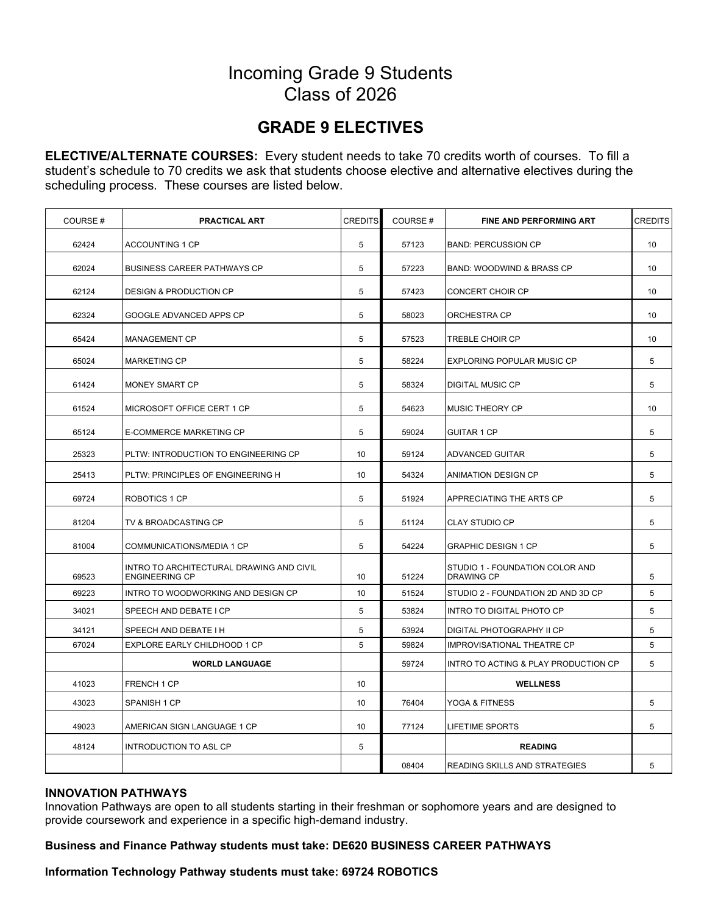## Incoming Grade 9 Students Class of 2026

## **GRADE 9 ELECTIVES**

**ELECTIVE/ALTERNATE COURSES:** Every student needs to take 70 credits worth of courses. To fill a student's schedule to 70 credits we ask that students choose elective and alternative electives during the scheduling process. These courses are listed below.

| COURSE# | <b>PRACTICAL ART</b>                                              | <b>CREDITS</b> | COURSE# | <b>FINE AND PERFORMING ART</b>                       | <b>CREDITS</b> |
|---------|-------------------------------------------------------------------|----------------|---------|------------------------------------------------------|----------------|
| 62424   | <b>ACCOUNTING 1 CP</b>                                            | 5              | 57123   | <b>BAND: PERCUSSION CP</b>                           | 10             |
| 62024   | <b>BUSINESS CAREER PATHWAYS CP</b>                                | 5              | 57223   | <b>BAND: WOODWIND &amp; BRASS CP</b>                 | 10             |
| 62124   | <b>DESIGN &amp; PRODUCTION CP</b>                                 | 5              | 57423   | <b>CONCERT CHOIR CP</b>                              | 10             |
| 62324   | GOOGLE ADVANCED APPS CP                                           | 5              | 58023   | ORCHESTRA CP                                         | 10             |
| 65424   | <b>MANAGEMENT CP</b>                                              | 5              | 57523   | <b>TREBLE CHOIR CP</b>                               | 10             |
| 65024   | <b>MARKETING CP</b>                                               | 5              | 58224   | <b>EXPLORING POPULAR MUSIC CP</b>                    | 5              |
| 61424   | MONEY SMART CP                                                    | 5              | 58324   | <b>DIGITAL MUSIC CP</b>                              | 5              |
| 61524   | MICROSOFT OFFICE CERT 1 CP                                        | 5              | 54623   | MUSIC THEORY CP                                      | 10             |
| 65124   | E-COMMERCE MARKETING CP                                           | 5              | 59024   | <b>GUITAR 1 CP</b>                                   | 5              |
| 25323   | PLTW: INTRODUCTION TO ENGINEERING CP                              | 10             | 59124   | <b>ADVANCED GUITAR</b>                               | 5              |
| 25413   | PLTW: PRINCIPLES OF ENGINEERING H                                 | 10             | 54324   | ANIMATION DESIGN CP                                  | 5              |
| 69724   | ROBOTICS 1 CP                                                     | 5              | 51924   | APPRECIATING THE ARTS CP                             | 5              |
| 81204   | TV & BROADCASTING CP                                              | 5              | 51124   | <b>CLAY STUDIO CP</b>                                | 5              |
| 81004   | COMMUNICATIONS/MEDIA 1 CP                                         | 5              | 54224   | <b>GRAPHIC DESIGN 1 CP</b>                           | 5              |
| 69523   | INTRO TO ARCHITECTURAL DRAWING AND CIVIL<br><b>ENGINEERING CP</b> | 10             | 51224   | STUDIO 1 - FOUNDATION COLOR AND<br><b>DRAWING CP</b> | 5              |
| 69223   | INTRO TO WOODWORKING AND DESIGN CP                                | 10             | 51524   | STUDIO 2 - FOUNDATION 2D AND 3D CP                   | 5              |
| 34021   | SPEECH AND DEBATE I CP                                            | 5              | 53824   | INTRO TO DIGITAL PHOTO CP                            | 5              |
| 34121   | SPEECH AND DEBATE I H                                             | 5              | 53924   | DIGITAL PHOTOGRAPHY II CP                            | 5              |
| 67024   | EXPLORE EARLY CHILDHOOD 1 CP                                      | 5              | 59824   | <b>IMPROVISATIONAL THEATRE CP</b>                    | 5              |
|         | <b>WORLD LANGUAGE</b>                                             |                | 59724   | INTRO TO ACTING & PLAY PRODUCTION CP                 | 5              |
| 41023   | FRENCH 1 CP                                                       | 10             |         | <b>WELLNESS</b>                                      |                |
| 43023   | SPANISH 1 CP                                                      | 10             | 76404   | YOGA & FITNESS                                       | 5              |
| 49023   | AMERICAN SIGN LANGUAGE 1 CP                                       | 10             | 77124   | <b>LIFETIME SPORTS</b>                               | 5              |
| 48124   | <b>INTRODUCTION TO ASL CP</b>                                     | 5              |         | <b>READING</b>                                       |                |
|         |                                                                   |                | 08404   | READING SKILLS AND STRATEGIES                        | 5              |

#### **INNOVATION PATHWAYS**

Innovation Pathways are open to all students starting in their freshman or sophomore years and are designed to provide coursework and experience in a specific high-demand industry.

**Business and Finance Pathway students must take: DE620 BUSINESS CAREER PATHWAYS**

#### **Information Technology Pathway students must take: 69724 ROBOTICS**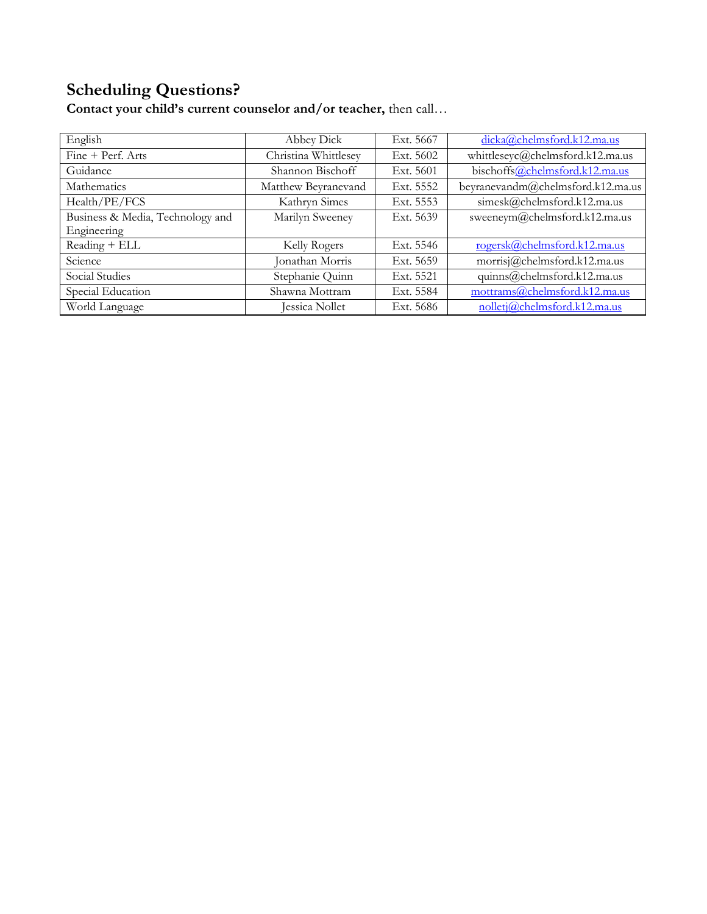## **Scheduling Questions?**

English Abbey Dick Ext. 5667 [dicka@chelmsford.k12.ma.us](mailto:dicka@chelmsford.k12.ma.us) Fine + Perf. Arts Christina Whittlesey Ext. 5602 [whittleseyc@chelmsford.k12.ma.us](mailto:whittleseyc@chelmsford.k12.ma.us) Guidance Shannon Bischoff Ext. 5601 bischoff[s@chelmsford.k12.ma.us](mailto:wilsonl@chelmsford.k12.ma.us) Mathematics Matthew Beyranevand Ext. 5552 [beyranevandm@chelmsford.k12.ma.us](mailto:beyranevandm@chelmsford.k12.ma.us) Health/PE/FCS Kathryn Simes Ext. 5553 [simesk@chelmsford.k12.ma.us](mailto:simesk@chelmsford.k12.ma.us) Business & Media, Technology and Engineering Marilyn Sweeney Ext. 5639 [sweeneym@chelmsford.k12.ma.us](mailto:sweeneym@chelmsford.k12.ma.us) Reading + ELL Kelly Rogers Ext. 5546 [rogersk@chelmsford.k12.ma.us](mailto:rogersk@chelmsford.k12.ma.us) Science Jonathan Morris Ext. 5659 morrisj[@chelmsford.k12.ma.us](mailto:beyranevandm@chelmsford.k12.ma.us) Social Studies Stephanie Quinn Ext. 5521 [quinns@chelmsford.k12.ma.us](mailto:quinns@chelmsford.k12.ma.us) Special Education Shawna Mottram Ext. 5584 [mottrams@chelmsford.k12.ma.us](mailto:mottrams@chelmsford.k12.ma.us) World Language Jessica Nollet Ext. 5686 [nolletj@chelmsford.k12.ma.us](mailto:nolletj@chelmsford.k12.ma.us)

**Contact your child's current counselor and/or teacher,** then call…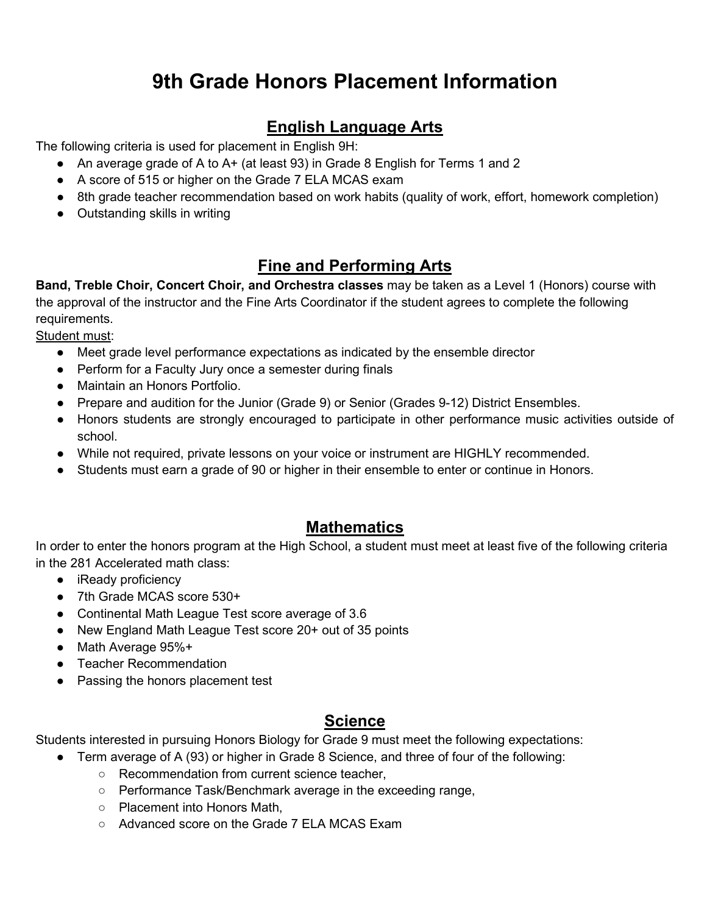## **9th Grade Honors Placement Information**

## **English Language Arts**

The following criteria is used for placement in English 9H:

- An average grade of A to A+ (at least 93) in Grade 8 English for Terms 1 and 2
- A score of 515 or higher on the Grade 7 ELA MCAS exam
- 8th grade teacher recommendation based on work habits (quality of work, effort, homework completion)
- Outstanding skills in writing

## **Fine and Performing Arts**

**Band, Treble Choir, Concert Choir, and Orchestra classes** may be taken as a Level 1 (Honors) course with the approval of the instructor and the Fine Arts Coordinator if the student agrees to complete the following requirements.

Student must:

- Meet grade level performance expectations as indicated by the ensemble director
- Perform for a Faculty Jury once a semester during finals
- Maintain an Honors Portfolio.
- Prepare and audition for the Junior (Grade 9) or Senior (Grades 9-12) District Ensembles.
- Honors students are strongly encouraged to participate in other performance music activities outside of school.
- While not required, private lessons on your voice or instrument are HIGHLY recommended.
- Students must earn a grade of 90 or higher in their ensemble to enter or continue in Honors.

### **Mathematics**

In order to enter the honors program at the High School, a student must meet at least five of the following criteria in the 281 Accelerated math class:

- iReady proficiency
- 7th Grade MCAS score 530+
- Continental Math League Test score average of 3.6
- New England Math League Test score 20+ out of 35 points
- Math Average 95%+
- Teacher Recommendation
- Passing the honors placement test

### **Science**

Students interested in pursuing Honors Biology for Grade 9 must meet the following expectations:

- Term average of A (93) or higher in Grade 8 Science, and three of four of the following:
	- Recommendation from current science teacher,
	- Performance Task/Benchmark average in the exceeding range,
	- Placement into Honors Math,
	- Advanced score on the Grade 7 ELA MCAS Exam